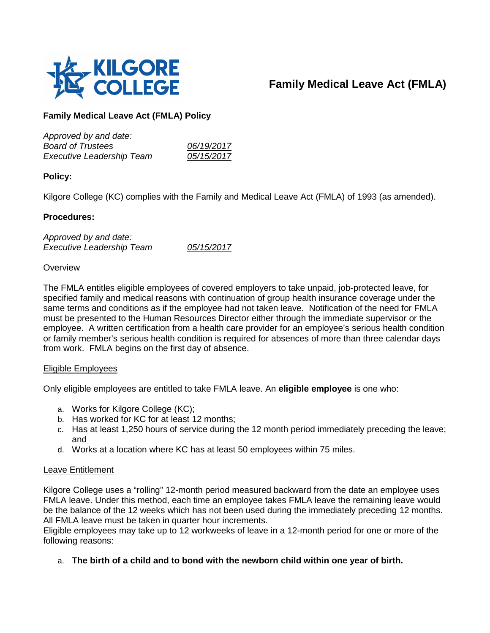

# **Family Medical Leave Act (FMLA)**

# **Family Medical Leave Act (FMLA) Policy**

| Approved by and date:            |            |
|----------------------------------|------------|
| <b>Board of Trustees</b>         | 06/19/2017 |
| <b>Executive Leadership Team</b> | 05/15/2017 |

# **Policy:**

Kilgore College (KC) complies with the Family and Medical Leave Act (FMLA) of 1993 (as amended).

# **Procedures:**

*Approved by and date: Executive Leadership Team 05/15/2017*

#### **Overview**

The FMLA entitles eligible employees of covered employers to take unpaid, job-protected leave, for specified family and medical reasons with continuation of group health insurance coverage under the same terms and conditions as if the employee had not taken leave. Notification of the need for FMLA must be presented to the Human Resources Director either through the immediate supervisor or the employee. A written certification from a health care provider for an employee's serious health condition or family member's serious health condition is required for absences of more than three calendar days from work. FMLA begins on the first day of absence.

# Eligible Employees

Only eligible employees are entitled to take FMLA leave. An **eligible employee** is one who:

- a. Works for Kilgore College (KC);
- b. Has worked for KC for at least 12 months;
- c. Has at least 1,250 hours of service during the 12 month period immediately preceding the leave; and
- d. Works at a location where KC has at least 50 employees within 75 miles.

#### Leave Entitlement

Kilgore College uses a "rolling" 12-month period measured backward from the date an employee uses FMLA leave. Under this method, each time an employee takes FMLA leave the remaining leave would be the balance of the 12 weeks which has not been used during the immediately preceding 12 months. All FMLA leave must be taken in quarter hour increments.

Eligible employees may take up to 12 workweeks of leave in a 12-month period for one or more of the following reasons:

a. **The birth of a child and to bond with the newborn child within one year of birth.**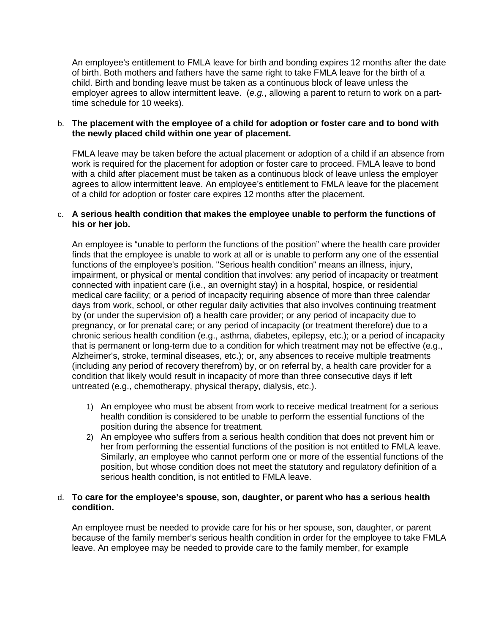An employee's entitlement to FMLA leave for birth and bonding expires 12 months after the date of birth. Both mothers and fathers have the same right to take FMLA leave for the birth of a child. Birth and bonding leave must be taken as a continuous block of leave unless the employer agrees to allow intermittent leave. (*e.g.*, allowing a parent to return to work on a parttime schedule for 10 weeks).

#### b. **The placement with the employee of a child for adoption or foster care and to bond with the newly placed child within one year of placement.**

FMLA leave may be taken before the actual placement or adoption of a child if an absence from work is required for the placement for adoption or foster care to proceed. FMLA leave to bond with a child after placement must be taken as a continuous block of leave unless the employer agrees to allow intermittent leave. An employee's entitlement to FMLA leave for the placement of a child for adoption or foster care expires 12 months after the placement.

#### c. **A serious health condition that makes the employee unable to perform the functions of his or her job.**

An employee is "unable to perform the functions of the position" where the health care provider finds that the employee is unable to work at all or is unable to perform any one of the essential functions of the employee's position. "Serious health condition" means an illness, injury, impairment, or physical or mental condition that involves: any period of incapacity or treatment connected with inpatient care (i.e., an overnight stay) in a hospital, hospice, or residential medical care facility; or a period of incapacity requiring absence of more than three calendar days from work, school, or other regular daily activities that also involves continuing treatment by (or under the supervision of) a health care provider; or any period of incapacity due to pregnancy, or for prenatal care; or any period of incapacity (or treatment therefore) due to a chronic serious health condition (e.g., asthma, diabetes, epilepsy, etc.); or a period of incapacity that is permanent or long-term due to a condition for which treatment may not be effective (e.g., Alzheimer's, stroke, terminal diseases, etc.); or, any absences to receive multiple treatments (including any period of recovery therefrom) by, or on referral by, a health care provider for a condition that likely would result in incapacity of more than three consecutive days if left untreated (e.g., chemotherapy, physical therapy, dialysis, etc.).

- 1) An employee who must be absent from work to receive medical treatment for a serious health condition is considered to be unable to perform the essential functions of the position during the absence for treatment.
- 2) An employee who suffers from a serious health condition that does not prevent him or her from performing the essential functions of the position is not entitled to FMLA leave. Similarly, an employee who cannot perform one or more of the essential functions of the position, but whose condition does not meet the statutory and regulatory definition of a serious health condition, is not entitled to FMLA leave.

#### d. **To care for the employee's spouse, son, daughter, or parent who has a serious health condition.**

An employee must be needed to provide care for his or her spouse, son, daughter, or parent because of the family member's serious health condition in order for the employee to take FMLA leave. An employee may be needed to provide care to the family member, for example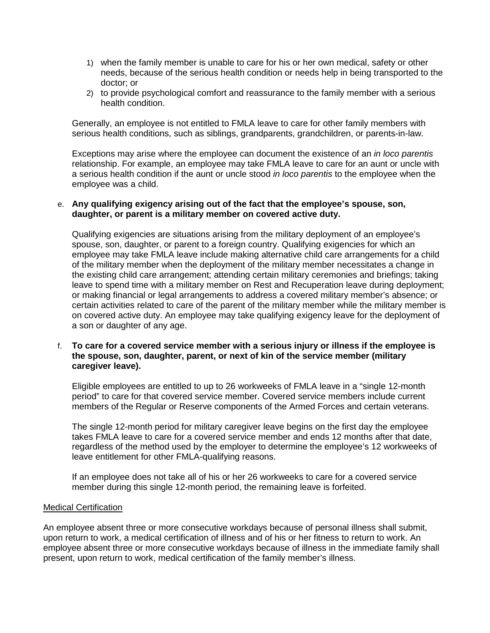- 1) when the family member is unable to care for his or her own medical, safety or other needs, because of the serious health condition or needs help in being transported to the doctor; or
- 2) to provide psychological comfort and reassurance to the family member with a serious health condition.

Generally, an employee is not entitled to FMLA leave to care for other family members with serious health conditions, such as siblings, grandparents, grandchildren, or parents-in-law.

Exceptions may arise where the employee can document the existence of an *in loco parentis*  relationship. For example, an employee may take FMLA leave to care for an aunt or uncle with a serious health condition if the aunt or uncle stood *in loco parentis* to the employee when the employee was a child.

#### e. **Any qualifying exigency arising out of the fact that the employee's spouse, son, daughter, or parent is a military member on covered active duty.**

Qualifying exigencies are situations arising from the military deployment of an employee's spouse, son, daughter, or parent to a foreign country. Qualifying exigencies for which an employee may take FMLA leave include making alternative child care arrangements for a child of the military member when the deployment of the military member necessitates a change in the existing child care arrangement; attending certain military ceremonies and briefings; taking leave to spend time with a military member on Rest and Recuperation leave during deployment; or making financial or legal arrangements to address a covered military member's absence; or certain activities related to care of the parent of the military member while the military member is on covered active duty. An employee may take qualifying exigency leave for the deployment of a son or daughter of any age.

#### f. **To care for a covered service member with a serious injury or illness if the employee is the spouse, son, daughter, parent, or next of kin of the service member (military caregiver leave).**

Eligible employees are entitled to up to 26 workweeks of FMLA leave in a "single 12-month period" to care for that covered service member. Covered service members include current members of the Regular or Reserve components of the Armed Forces and certain veterans.

The single 12-month period for military caregiver leave begins on the first day the employee takes FMLA leave to care for a covered service member and ends 12 months after that date, regardless of the method used by the employer to determine the employee's 12 workweeks of leave entitlement for other FMLA-qualifying reasons.

If an employee does not take all of his or her 26 workweeks to care for a covered service member during this single 12-month period, the remaining leave is forfeited.

#### Medical Certification

An employee absent three or more consecutive workdays because of personal illness shall submit, upon return to work, a medical certification of illness and of his or her fitness to return to work. An employee absent three or more consecutive workdays because of illness in the immediate family shall present, upon return to work, medical certification of the family member's illness.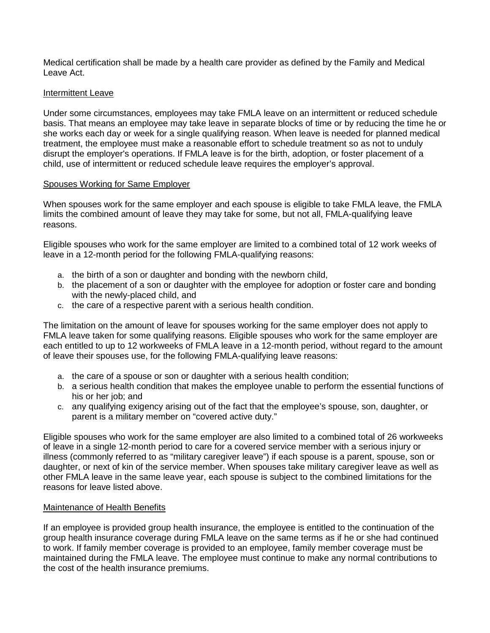Medical certification shall be made by a health care provider as defined by the Family and Medical Leave Act.

# Intermittent Leave

Under some circumstances, employees may take FMLA leave on an intermittent or reduced schedule basis. That means an employee may take leave in separate blocks of time or by reducing the time he or she works each day or week for a single qualifying reason. When leave is needed for planned medical treatment, the employee must make a reasonable effort to schedule treatment so as not to unduly disrupt the employer's operations. If FMLA leave is for the birth, adoption, or foster placement of a child, use of intermittent or reduced schedule leave requires the employer's approval.

#### Spouses Working for Same Employer

When spouses work for the same employer and each spouse is eligible to take FMLA leave, the FMLA limits the combined amount of leave they may take for some, but not all, FMLA-qualifying leave reasons.

Eligible spouses who work for the same employer are limited to a combined total of 12 work weeks of leave in a 12-month period for the following FMLA-qualifying reasons:

- a. the birth of a son or daughter and bonding with the newborn child,
- b. the placement of a son or daughter with the employee for adoption or foster care and bonding with the newly-placed child, and
- c. the care of a respective parent with a serious health condition.

The limitation on the amount of leave for spouses working for the same employer does not apply to FMLA leave taken for some qualifying reasons. Eligible spouses who work for the same employer are each entitled to up to 12 workweeks of FMLA leave in a 12-month period, without regard to the amount of leave their spouses use, for the following FMLA-qualifying leave reasons:

- a. the care of a spouse or son or daughter with a serious health condition;
- b. a serious health condition that makes the employee unable to perform the essential functions of his or her job; and
- c. any qualifying exigency arising out of the fact that the employee's spouse, son, daughter, or parent is a military member on "covered active duty."

Eligible spouses who work for the same employer are also limited to a combined total of 26 workweeks of leave in a single 12-month period to care for a covered service member with a serious injury or illness (commonly referred to as "military caregiver leave") if each spouse is a parent, spouse, son or daughter, or next of kin of the service member. When spouses take military caregiver leave as well as other FMLA leave in the same leave year, each spouse is subject to the combined limitations for the reasons for leave listed above.

# Maintenance of Health Benefits

If an employee is provided group health insurance, the employee is entitled to the continuation of the group health insurance coverage during FMLA leave on the same terms as if he or she had continued to work. If family member coverage is provided to an employee, family member coverage must be maintained during the FMLA leave. The employee must continue to make any normal contributions to the cost of the health insurance premiums.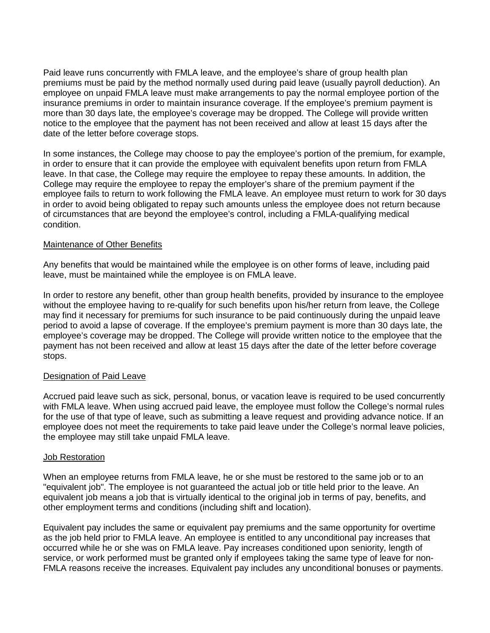Paid leave runs concurrently with FMLA leave, and the employee's share of group health plan premiums must be paid by the method normally used during paid leave (usually payroll deduction). An employee on unpaid FMLA leave must make arrangements to pay the normal employee portion of the insurance premiums in order to maintain insurance coverage. If the employee's premium payment is more than 30 days late, the employee's coverage may be dropped. The College will provide written notice to the employee that the payment has not been received and allow at least 15 days after the date of the letter before coverage stops.

In some instances, the College may choose to pay the employee's portion of the premium, for example, in order to ensure that it can provide the employee with equivalent benefits upon return from FMLA leave. In that case, the College may require the employee to repay these amounts. In addition, the College may require the employee to repay the employer's share of the premium payment if the employee fails to return to work following the FMLA leave. An employee must return to work for 30 days in order to avoid being obligated to repay such amounts unless the employee does not return because of circumstances that are beyond the employee's control, including a FMLA-qualifying medical condition.

#### Maintenance of Other Benefits

Any benefits that would be maintained while the employee is on other forms of leave, including paid leave, must be maintained while the employee is on FMLA leave.

In order to restore any benefit, other than group health benefits, provided by insurance to the employee without the employee having to re-qualify for such benefits upon his/her return from leave, the College may find it necessary for premiums for such insurance to be paid continuously during the unpaid leave period to avoid a lapse of coverage. If the employee's premium payment is more than 30 days late, the employee's coverage may be dropped. The College will provide written notice to the employee that the payment has not been received and allow at least 15 days after the date of the letter before coverage stops.

# Designation of Paid Leave

Accrued paid leave such as sick, personal, bonus, or vacation leave is required to be used concurrently with FMLA leave. When using accrued paid leave, the employee must follow the College's normal rules for the use of that type of leave, such as submitting a leave request and providing advance notice. If an employee does not meet the requirements to take paid leave under the College's normal leave policies, the employee may still take unpaid FMLA leave.

#### Job Restoration

When an employee returns from FMLA leave, he or she must be restored to the same job or to an "equivalent job". The employee is not guaranteed the actual job or title held prior to the leave. An equivalent job means a job that is virtually identical to the original job in terms of pay, benefits, and other employment terms and conditions (including shift and location).

Equivalent pay includes the same or equivalent pay premiums and the same opportunity for overtime as the job held prior to FMLA leave. An employee is entitled to any unconditional pay increases that occurred while he or she was on FMLA leave. Pay increases conditioned upon seniority, length of service, or work performed must be granted only if employees taking the same type of leave for non-FMLA reasons receive the increases. Equivalent pay includes any unconditional bonuses or payments.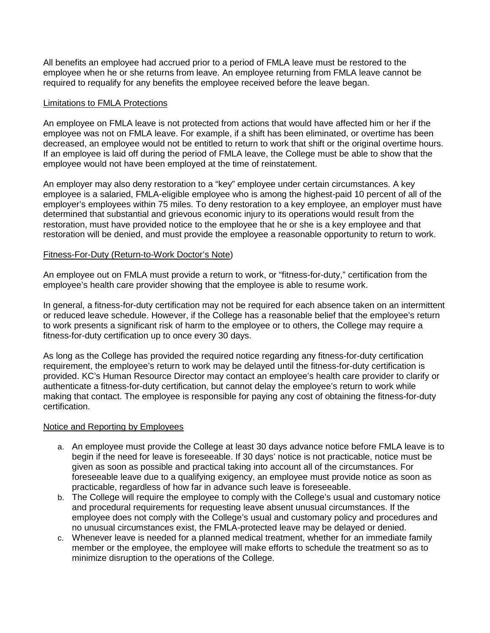All benefits an employee had accrued prior to a period of FMLA leave must be restored to the employee when he or she returns from leave. An employee returning from FMLA leave cannot be required to requalify for any benefits the employee received before the leave began.

# Limitations to FMLA Protections

An employee on FMLA leave is not protected from actions that would have affected him or her if the employee was not on FMLA leave. For example, if a shift has been eliminated, or overtime has been decreased, an employee would not be entitled to return to work that shift or the original overtime hours. If an employee is laid off during the period of FMLA leave, the College must be able to show that the employee would not have been employed at the time of reinstatement.

An employer may also deny restoration to a "key" employee under certain circumstances. A key employee is a salaried, FMLA-eligible employee who is among the highest-paid 10 percent of all of the employer's employees within 75 miles. To deny restoration to a key employee, an employer must have determined that substantial and grievous economic injury to its operations would result from the restoration, must have provided notice to the employee that he or she is a key employee and that restoration will be denied, and must provide the employee a reasonable opportunity to return to work.

#### Fitness-For-Duty (Return-to-Work Doctor's Note)

An employee out on FMLA must provide a return to work, or "fitness-for-duty," certification from the employee's health care provider showing that the employee is able to resume work.

In general, a fitness-for-duty certification may not be required for each absence taken on an intermittent or reduced leave schedule. However, if the College has a reasonable belief that the employee's return to work presents a significant risk of harm to the employee or to others, the College may require a fitness-for-duty certification up to once every 30 days.

As long as the College has provided the required notice regarding any fitness-for-duty certification requirement, the employee's return to work may be delayed until the fitness-for-duty certification is provided. KC's Human Resource Director may contact an employee's health care provider to clarify or authenticate a fitness-for-duty certification, but cannot delay the employee's return to work while making that contact. The employee is responsible for paying any cost of obtaining the fitness-for-duty certification.

#### Notice and Reporting by Employees

- a. An employee must provide the College at least 30 days advance notice before FMLA leave is to begin if the need for leave is foreseeable. If 30 days' notice is not practicable, notice must be given as soon as possible and practical taking into account all of the circumstances. For foreseeable leave due to a qualifying exigency, an employee must provide notice as soon as practicable, regardless of how far in advance such leave is foreseeable.
- b. The College will require the employee to comply with the College's usual and customary notice and procedural requirements for requesting leave absent unusual circumstances. If the employee does not comply with the College's usual and customary policy and procedures and no unusual circumstances exist, the FMLA-protected leave may be delayed or denied.
- c. Whenever leave is needed for a planned medical treatment, whether for an immediate family member or the employee, the employee will make efforts to schedule the treatment so as to minimize disruption to the operations of the College.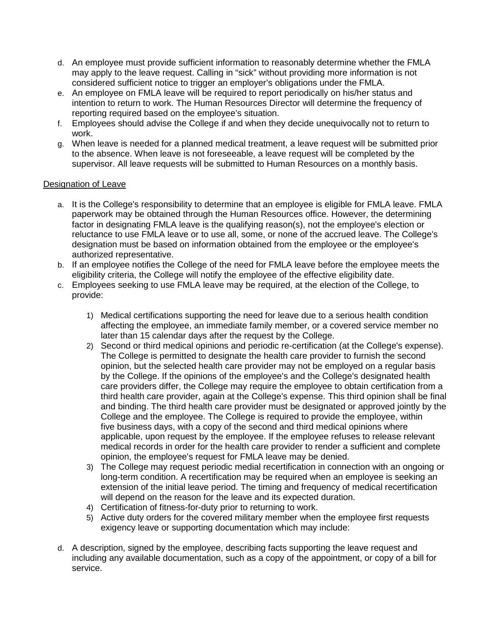- d. An employee must provide sufficient information to reasonably determine whether the FMLA may apply to the leave request. Calling in "sick" without providing more information is not considered sufficient notice to trigger an employer's obligations under the FMLA.
- e. An employee on FMLA leave will be required to report periodically on his/her status and intention to return to work. The Human Resources Director will determine the frequency of reporting required based on the employee's situation.
- f. Employees should advise the College if and when they decide unequivocally not to return to work.
- g. When leave is needed for a planned medical treatment, a leave request will be submitted prior to the absence. When leave is not foreseeable, a leave request will be completed by the supervisor. All leave requests will be submitted to Human Resources on a monthly basis.

# Designation of Leave

- a. It is the College's responsibility to determine that an employee is eligible for FMLA leave. FMLA paperwork may be obtained through the Human Resources office. However, the determining factor in designating FMLA leave is the qualifying reason(s), not the employee's election or reluctance to use FMLA leave or to use all, some, or none of the accrued leave. The College's designation must be based on information obtained from the employee or the employee's authorized representative.
- b. If an employee notifies the College of the need for FMLA leave before the employee meets the eligibility criteria, the College will notify the employee of the effective eligibility date.
- c. Employees seeking to use FMLA leave may be required, at the election of the College, to provide:
	- 1) Medical certifications supporting the need for leave due to a serious health condition affecting the employee, an immediate family member, or a covered service member no later than 15 calendar days after the request by the College.
	- 2) Second or third medical opinions and periodic re-certification (at the College's expense). The College is permitted to designate the health care provider to furnish the second opinion, but the selected health care provider may not be employed on a regular basis by the College. If the opinions of the employee's and the College's designated health care providers differ, the College may require the employee to obtain certification from a third health care provider, again at the College's expense. This third opinion shall be final and binding. The third health care provider must be designated or approved jointly by the College and the employee. The College is required to provide the employee, within five business days, with a copy of the second and third medical opinions where applicable, upon request by the employee. If the employee refuses to release relevant medical records in order for the health care provider to render a sufficient and complete opinion, the employee's request for FMLA leave may be denied.
	- 3) The College may request periodic medial recertification in connection with an ongoing or long-term condition. A recertification may be required when an employee is seeking an extension of the initial leave period. The timing and frequency of medical recertification will depend on the reason for the leave and its expected duration.
	- 4) Certification of fitness-for-duty prior to returning to work.
	- 5) Active duty orders for the covered military member when the employee first requests exigency leave or supporting documentation which may include:
- d. A description, signed by the employee, describing facts supporting the leave request and including any available documentation, such as a copy of the appointment, or copy of a bill for service.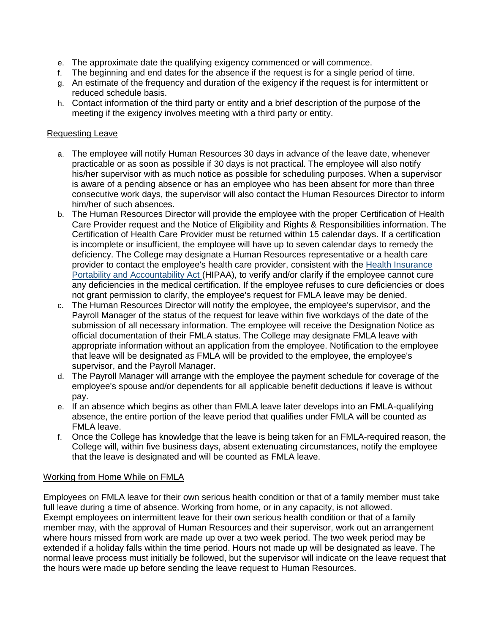- e. The approximate date the qualifying exigency commenced or will commence.
- f. The beginning and end dates for the absence if the request is for a single period of time.
- g. An estimate of the frequency and duration of the exigency if the request is for intermittent or reduced schedule basis.
- h. Contact information of the third party or entity and a brief description of the purpose of the meeting if the exigency involves meeting with a third party or entity.

### Requesting Leave

- a. The employee will notify Human Resources 30 days in advance of the leave date, whenever practicable or as soon as possible if 30 days is not practical. The employee will also notify his/her supervisor with as much notice as possible for scheduling purposes. When a supervisor is aware of a pending absence or has an employee who has been absent for more than three consecutive work days, the supervisor will also contact the Human Resources Director to inform him/her of such absences.
- b. The Human Resources Director will provide the employee with the proper Certification of Health Care Provider request and the Notice of Eligibility and Rights & Responsibilities information. The Certification of Health Care Provider must be returned within 15 calendar days. If a certification is incomplete or insufficient, the employee will have up to seven calendar days to remedy the deficiency. The College may designate a Human Resources representative or a health care provider to contact the employee's health care provider, consistent with the [Health Insurance](http://www.hhs.gov/)  [Portability and Accountability Act \(](http://www.hhs.gov/)HIPAA), to verify and/or clarify if the employee cannot cure any deficiencies in the medical certification. If the employee refuses to cure deficiencies or does not grant permission to clarify, the employee's request for FMLA leave may be denied.
- c. The Human Resources Director will notify the employee, the employee's supervisor, and the Payroll Manager of the status of the request for leave within five workdays of the date of the submission of all necessary information. The employee will receive the Designation Notice as official documentation of their FMLA status. The College may designate FMLA leave with appropriate information without an application from the employee. Notification to the employee that leave will be designated as FMLA will be provided to the employee, the employee's supervisor, and the Payroll Manager.
- d. The Payroll Manager will arrange with the employee the payment schedule for coverage of the employee's spouse and/or dependents for all applicable benefit deductions if leave is without pay.
- e. If an absence which begins as other than FMLA leave later develops into an FMLA-qualifying absence, the entire portion of the leave period that qualifies under FMLA will be counted as FMLA leave.
- f. Once the College has knowledge that the leave is being taken for an FMLA-required reason, the College will, within five business days, absent extenuating circumstances, notify the employee that the leave is designated and will be counted as FMLA leave.

# Working from Home While on FMLA

Employees on FMLA leave for their own serious health condition or that of a family member must take full leave during a time of absence. Working from home, or in any capacity, is not allowed. Exempt employees on intermittent leave for their own serious health condition or that of a family member may, with the approval of Human Resources and their supervisor, work out an arrangement where hours missed from work are made up over a two week period. The two week period may be extended if a holiday falls within the time period. Hours not made up will be designated as leave. The normal leave process must initially be followed, but the supervisor will indicate on the leave request that the hours were made up before sending the leave request to Human Resources.